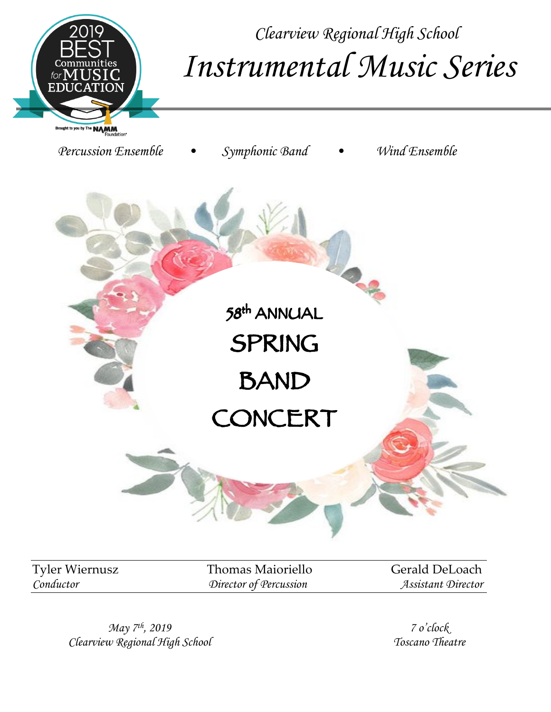

*Clearview Regional High School Instrumental Music Series*

*Percussion Ensemble • Symphonic Band • Wind Ensemble* 58th ANNUAL SPRING **BAND** CONCERT

Tyler Wiernusz Thomas Maioriello Gerald DeLoach *Conductor Director of Percussion Assistant Director*

*May 7th, 2019 Clearview Regional High School*

*7 o'clock Toscano Theatre*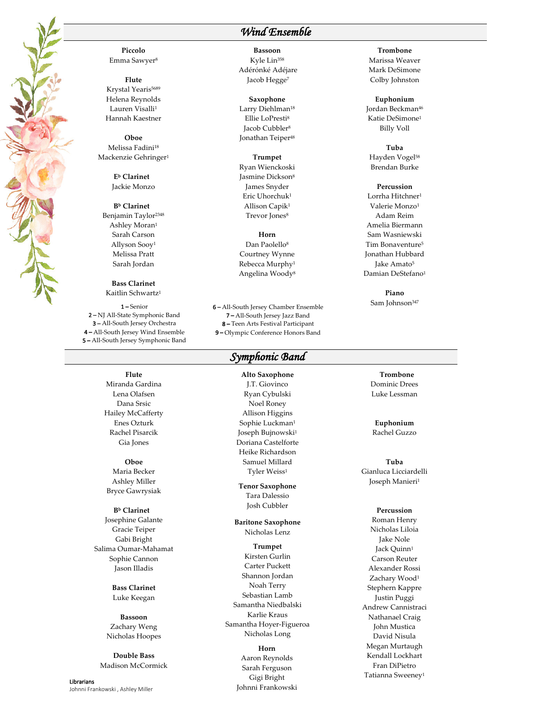**Piccolo** Emma Sawyer8

**Flute** Krystal Yearis<sup>5689</sup> Helena Reynolds Lauren Visalli<sup>1</sup> Hannah Kaestner

**Oboe** Melissa Fadini<sup>18</sup> Mackenzie Gehringer1

> **Eb Clarinet** Jackie Monzo

**Bb Clarinet** Benjamin Taylor2348 Ashley Moran1 Sarah Carson Allyson Sooy1 Melissa Pratt Sarah Jordan

**Bass Clarinet** Kaitlin Schwartz1

1 – Senior 2 – NJ All-State Symphonic Band 3 – All-South Jersey Orchestra 4 – All-South Jersey Wind Ensemble 5 – All-South Jersey Symphonic Band

> **Flute** Miranda Gardina Lena Olafsen Dana Srsic Hailey McCafferty Enes Ozturk Rachel Pisarcik Gia Jones

**Oboe** Maria Becker Ashley Miller Bryce Gawrysiak

**Bb Clarinet** Josephine Galante Gracie Teiper Gabi Bright Salima Oumar-Mahamat Sophie Cannon Jason Illadis

> **Bass Clarinet** Luke Keegan

**Bassoon** Zachary Weng Nicholas Hoopes

**Double Bass** Madison McCormick

Librarians Johnni Frankowski , Ashley Miller

## *Wind Ensemble*

**Bassoon** Kyle Lin358 Adérónké Adéjare Jacob Hegge<sup>7</sup>

**Saxophone** Larry Diehlman<sup>18</sup> Ellie LoPresti8 Jacob Cubbler<sup>8</sup> Jonathan Teiper<sup>48</sup>

**Trumpet** Ryan Wienckoski Jasmine Dickson8 James Snyder Eric Uhorchuk1 Allison Capik1

Trevor Jones<sup>8</sup> **Horn** Dan Paolello<sup>8</sup>

Courtney Wynne Rebecca Murphy1 Angelina Woody8

6 – All-South Jersey Chamber Ensemble 7 – All-South Jersey Jazz Band 8 – Teen Arts Festival Participant 9 – Olympic Conference Honors Band

#### *Symphonic Band*

**Alto Saxophone** J.T. Giovinco Ryan Cybulski Noel Roney Allison Higgins Sophie Luckman1 Joseph Bujnowski1 Doriana Castelforte Heike Richardson Samuel Millard Tyler Weiss<sup>1</sup>

**Tenor Saxophone** Tara Dalessio Josh Cubbler

**Baritone Saxophone** Nicholas Lenz

**Trumpet** Kirsten Gurlin Carter Puckett Shannon Jordan Noah Terry Sebastian Lamb Samantha Niedbalski Karlie Kraus Samantha Hoyer-Figueroa Nicholas Long

#### **Horn**

Aaron Reynolds Sarah Ferguson Gigi Bright Johnni Frankowski

#### **Trombone** Marissa Weaver Mark DeSimone Colby Johnston

**Euphonium** Jordan Beckman<sup>46</sup> Katie DeSimone1 Billy Voll

**Tuba** Hayden Vogel<sup>58</sup> Brendan Burke

#### **Percussion**

Lorrha Hitchner1 Valerie Monzo1 Adam Reim Amelia Biermann Sam Wasniewski Tim Bonaventure5 Jonathan Hubbard Jake Amato<sup>5</sup> Damian DeStefano1

> **Piano** Sam Johnson<sup>347</sup>

> **Trombone** Dominic Drees Luke Lessman

**Euphonium** Rachel Guzzo

**Tuba** Gianluca Licciardelli Joseph Manieri1

#### **Percussion**

Roman Henry Nicholas Liloia Jake Nole Jack Quinn<sup>1</sup> Carson Reuter Alexander Rossi Zachary Wood<sup>1</sup> Stephern Kappre Justin Puggi Andrew Cannistraci Nathanael Craig John Mustica David Nisula Megan Murtaugh Kendall Lockhart Fran DiPietro Tatianna Sweeney1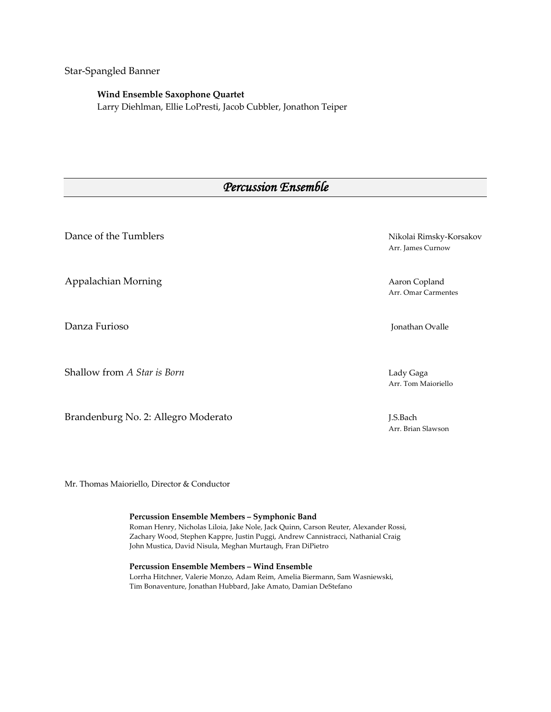Star-Spangled Banner

#### **Wind Ensemble Saxophone Quartet**

Larry Diehlman, Ellie LoPresti, Jacob Cubbler, Jonathon Teiper

# *Percussion Ensemble*

Dance of the Tumblers Nikolai Rimsky-Korsakov

Appalachian Morning **Accord Accord Accord Accord Accord Accord Accord Accord Accord Accord Accord Accord Accord A** 

Danza Furioso **International Executive Contract Contract Contract Contract Contract Contract Contract Contract Contract Contract Contract Contract Contract Contract Contract Contract Contract Contract Contract Contract Con** 

Shallow from *A Star is Born* Lady Gaga

Brandenburg No. 2: Allegro Moderato J.S.Bach

Arr. James Curnow

Arr. Omar Carmentes

Arr. Tom Maioriello

Arr. Brian Slawson

Mr. Thomas Maioriello, Director & Conductor

**Percussion Ensemble Members – Symphonic Band** Roman Henry, Nicholas Liloia, Jake Nole, Jack Quinn, Carson Reuter, Alexander Rossi, Zachary Wood, Stephen Kappre, Justin Puggi, Andrew Cannistracci, Nathanial Craig John Mustica, David Nisula, Meghan Murtaugh, Fran DiPietro

**Percussion Ensemble Members – Wind Ensemble** Lorrha Hitchner, Valerie Monzo, Adam Reim, Amelia Biermann, Sam Wasniewski, Tim Bonaventure, Jonathan Hubbard, Jake Amato, Damian DeStefano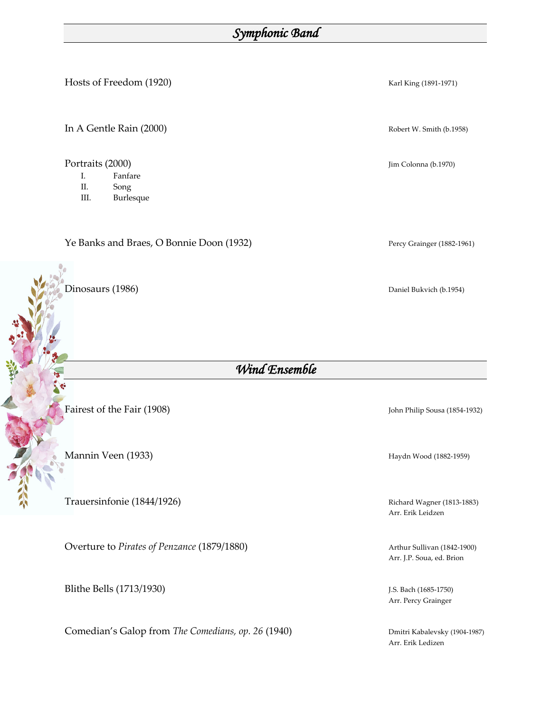# *Symphonic Band*

Hosts of Freedom (1920)Karl King (1891-1971)

In A Gentle Rain (2000) Robert W. Smith (b.1958)

Portraits (2000) Jim Colonna (b.1970)

- I. Fanfare
- II. Song
- III. Burlesque

Ye Banks and Braes, O Bonnie Doon (1932) Percy Grainger (1882-1961)

Dinosaurs (1986) Daniel Bukvich (b.1954)

Mannin Veen (1933) Haydn Wood (1882-1959)

Trauersinfonie (1844/1926) **Richard Wagner (1813-1883**)

Overture to *Pirates of Penzance* (1879/1880) Arthur Sullivan (1842-1900)

Blithe Bells (1713/1930) J.S. Bach (1685-1750)

Comedian's Galop from *The Comedians, op.* 26 (1940) Dmitri Kabalevsky (1904-1987)

*Wind Ensemble* 

Fairest of the Fair (1908) John Philip Sousa (1854-1932)

Arr. Erik Leidzen

Arr. J.P. Soua, ed. Brion

Arr. Percy Grainger

Arr. Erik Ledizen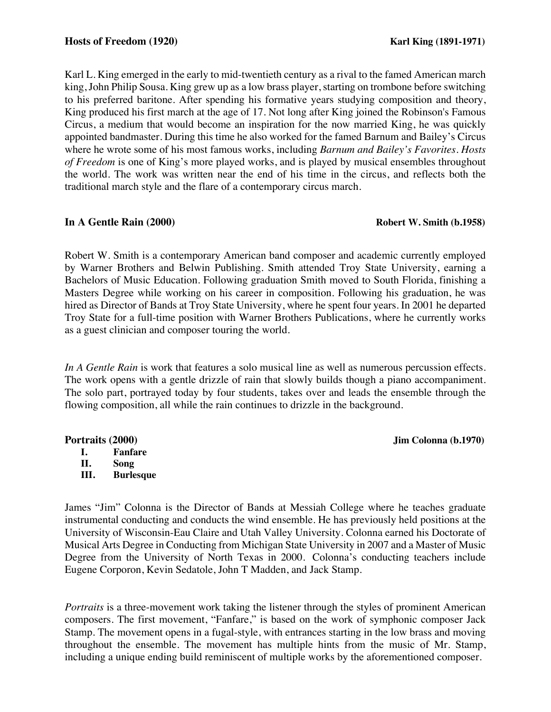Karl L. King emerged in the early to mid-twentieth century as a rival to the famed American march king, John Philip Sousa. King grew up as a low brass player, starting on trombone before switching to his preferred baritone. After spending his formative years studying composition and theory, King produced his first march at the age of 17. Not long after King joined the Robinson's Famous Circus, a medium that would become an inspiration for the now married King, he was quickly appointed bandmaster. During this time he also worked for the famed Barnum and Bailey's Circus where he wrote some of his most famous works, including *Barnum and Bailey's Favorites*. *Hosts of Freedom* is one of King's more played works, and is played by musical ensembles throughout the world. The work was written near the end of his time in the circus, and reflects both the traditional march style and the flare of a contemporary circus march.

### **In A Gentle Rain (2000)** Robert W. Smith (b.1958)

Robert W. Smith is a contemporary American band composer and academic currently employed by Warner Brothers and Belwin Publishing. Smith attended Troy State University, earning a Bachelors of Music Education. Following graduation Smith moved to South Florida, finishing a Masters Degree while working on his career in composition. Following his graduation, he was hired as Director of Bands at Troy State University, where he spent four years. In 2001 he departed Troy State for a full-time position with Warner Brothers Publications, where he currently works as a guest clinician and composer touring the world.

*In A Gentle Rain* is work that features a solo musical line as well as numerous percussion effects. The work opens with a gentle drizzle of rain that slowly builds though a piano accompaniment. The solo part, portrayed today by four students, takes over and leads the ensemble through the flowing composition, all while the rain continues to drizzle in the background.

### **Portraits (2000) Jim Colonna (b.1970)**

**I. Fanfare**

**II. Song**

**III. Burlesque**

James "Jim" Colonna is the Director of Bands at Messiah College where he teaches graduate instrumental conducting and conducts the wind ensemble. He has previously held positions at the University of Wisconsin-Eau Claire and Utah Valley University. Colonna earned his Doctorate of Musical Arts Degree in Conducting from Michigan State University in 2007 and a Master of Music Degree from the University of North Texas in 2000. Colonna's conducting teachers include Eugene Corporon, Kevin Sedatole, John T Madden, and Jack Stamp.

*Portraits* is a three-movement work taking the listener through the styles of prominent American composers. The first movement, "Fanfare," is based on the work of symphonic composer Jack Stamp. The movement opens in a fugal-style, with entrances starting in the low brass and moving throughout the ensemble. The movement has multiple hints from the music of Mr. Stamp, including a unique ending build reminiscent of multiple works by the aforementioned composer.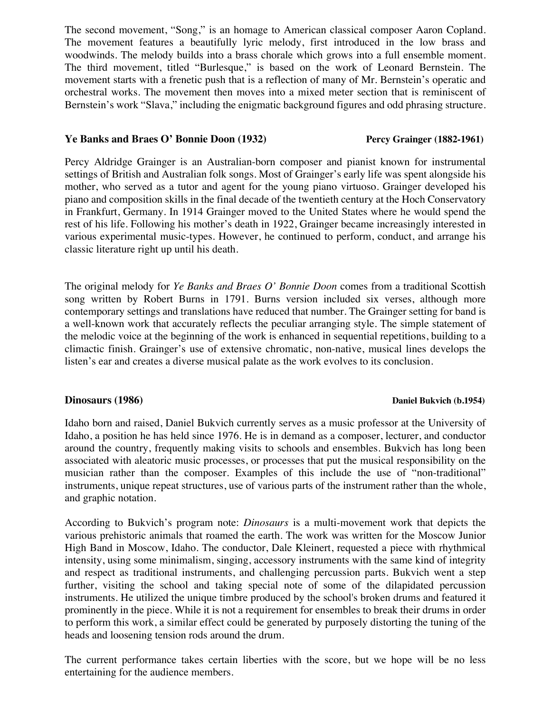The second movement, "Song," is an homage to American classical composer Aaron Copland. The movement features a beautifully lyric melody, first introduced in the low brass and woodwinds. The melody builds into a brass chorale which grows into a full ensemble moment. The third movement, titled "Burlesque," is based on the work of Leonard Bernstein. The movement starts with a frenetic push that is a reflection of many of Mr. Bernstein's operatic and orchestral works. The movement then moves into a mixed meter section that is reminiscent of Bernstein's work "Slava," including the enigmatic background figures and odd phrasing structure.

#### **Ye Banks and Braes O' Bonnie Doon (1932) Percy Grainger (1882-1961)**

Percy Aldridge Grainger is an Australian-born composer and pianist known for instrumental settings of British and Australian folk songs. Most of Grainger's early life was spent alongside his mother, who served as a tutor and agent for the young piano virtuoso. Grainger developed his piano and composition skills in the final decade of the twentieth century at the Hoch Conservatory in Frankfurt, Germany. In 1914 Grainger moved to the United States where he would spend the rest of his life. Following his mother's death in 1922, Grainger became increasingly interested in various experimental music-types. However, he continued to perform, conduct, and arrange his classic literature right up until his death.

The original melody for *Ye Banks and Braes O' Bonnie Doon* comes from a traditional Scottish song written by Robert Burns in 1791. Burns version included six verses, although more contemporary settings and translations have reduced that number. The Grainger setting for band is a well-known work that accurately reflects the peculiar arranging style. The simple statement of the melodic voice at the beginning of the work is enhanced in sequential repetitions, building to a climactic finish. Grainger's use of extensive chromatic, non-native, musical lines develops the listen's ear and creates a diverse musical palate as the work evolves to its conclusion.

#### **Dinosaurs (1986)** Daniel Bukvich (b.1954)

Idaho born and raised, Daniel Bukvich currently serves as a music professor at the University of Idaho, a position he has held since 1976. He is in demand as a composer, lecturer, and conductor around the country, frequently making visits to schools and ensembles. Bukvich has long been associated with aleatoric music processes, or processes that put the musical responsibility on the musician rather than the composer. Examples of this include the use of "non-traditional" instruments, unique repeat structures, use of various parts of the instrument rather than the whole, and graphic notation.

According to Bukvich's program note: *Dinosaurs* is a multi-movement work that depicts the various prehistoric animals that roamed the earth. The work was written for the Moscow Junior High Band in Moscow, Idaho. The conductor, Dale Kleinert, requested a piece with rhythmical intensity, using some minimalism, singing, accessory instruments with the same kind of integrity and respect as traditional instruments, and challenging percussion parts. Bukvich went a step further, visiting the school and taking special note of some of the dilapidated percussion instruments. He utilized the unique timbre produced by the school's broken drums and featured it prominently in the piece. While it is not a requirement for ensembles to break their drums in order to perform this work, a similar effect could be generated by purposely distorting the tuning of the heads and loosening tension rods around the drum.

The current performance takes certain liberties with the score, but we hope will be no less entertaining for the audience members.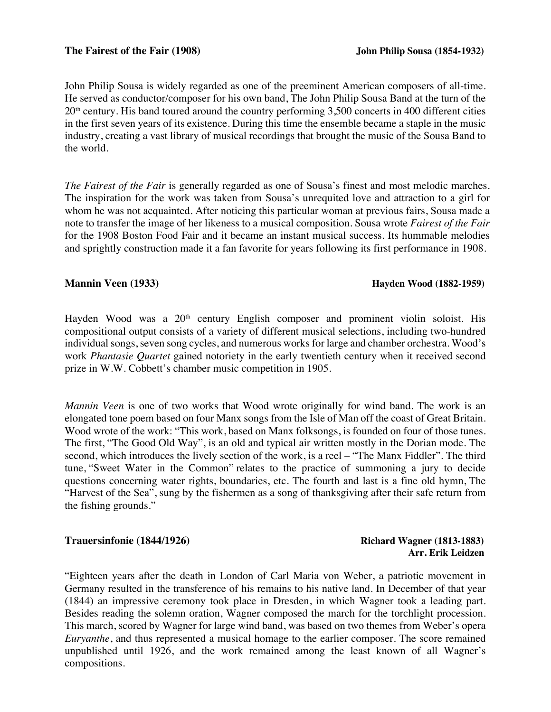John Philip Sousa is widely regarded as one of the preeminent American composers of all-time. He served as conductor/composer for his own band, The John Philip Sousa Band at the turn of the  $20<sup>th</sup>$  century. His band toured around the country performing 3,500 concerts in 400 different cities in the first seven years of its existence. During this time the ensemble became a staple in the music industry, creating a vast library of musical recordings that brought the music of the Sousa Band to the world.

*The Fairest of the Fair* is generally regarded as one of Sousa's finest and most melodic marches. The inspiration for the work was taken from Sousa's unrequited love and attraction to a girl for whom he was not acquainted. After noticing this particular woman at previous fairs, Sousa made a note to transfer the image of her likeness to a musical composition. Sousa wrote *Fairest of the Fair* for the 1908 Boston Food Fair and it became an instant musical success. Its hummable melodies and sprightly construction made it a fan favorite for years following its first performance in 1908.

#### **Mannin Veen (1933) Hayden Wood (1882-1959)**

Hayden Wood was a 20<sup>th</sup> century English composer and prominent violin soloist. His compositional output consists of a variety of different musical selections, including two-hundred individual songs, seven song cycles, and numerous works for large and chamber orchestra. Wood's work *Phantasie Quartet* gained notoriety in the early twentieth century when it received second prize in W.W. Cobbett's chamber music competition in 1905.

*Mannin Veen* is one of two works that Wood wrote originally for wind band. The work is an elongated tone poem based on four Manx songs from the Isle of Man off the coast of Great Britain. Wood wrote of the work: "This work, based on Manx folksongs, is founded on four of those tunes. The first, "The Good Old Way", is an old and typical air written mostly in the Dorian mode. The second, which introduces the lively section of the work, is a reel – "The Manx Fiddler". The third tune, "Sweet Water in the Common" relates to the practice of summoning a jury to decide questions concerning water rights, boundaries, etc. The fourth and last is a fine old hymn, The "Harvest of the Sea", sung by the fishermen as a song of thanksgiving after their safe return from the fishing grounds."

#### **Trauersinfonie (1844/1926)** (1844/1926) **Richard Wagner (1813-1883)**

# **Arr. Erik Leidzen**

"Eighteen years after the death in London of Carl Maria von Weber, a patriotic movement in Germany resulted in the transference of his remains to his native land. In December of that year (1844) an impressive ceremony took place in Dresden, in which Wagner took a leading part. Besides reading the solemn oration, Wagner composed the march for the torchlight procession. This march, scored by Wagner for large wind band, was based on two themes from Weber's opera *Euryanthe*, and thus represented a musical homage to the earlier composer. The score remained unpublished until 1926, and the work remained among the least known of all Wagner's compositions.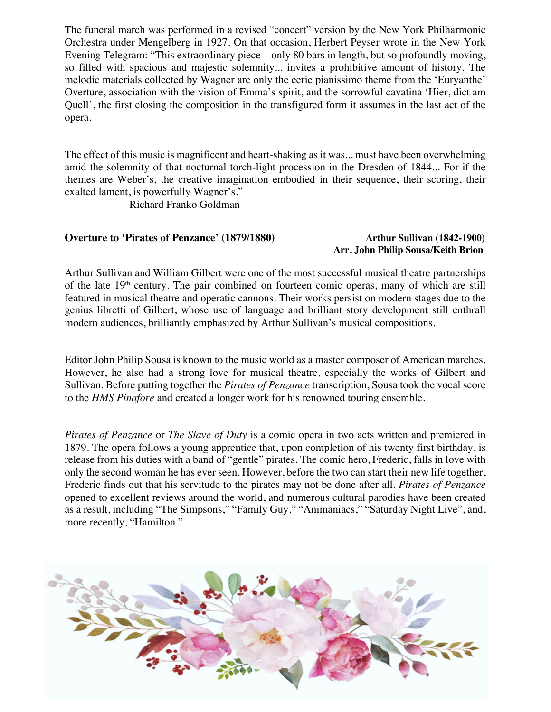The funeral march was performed in a revised "concert" version by the New York Philharmonic Orchestra under Mengelberg in 1927. On that occasion, Herbert Peyser wrote in the New York Evening Telegram: "This extraordinary piece – only 80 bars in length, but so profoundly moving, so filled with spacious and majestic solemnity... invites a prohibitive amount of history. The melodic materials collected by Wagner are only the eerie pianissimo theme from the 'Euryanthe' Overture, association with the vision of Emma's spirit, and the sorrowful cavatina 'Hier, dict am Quell', the first closing the composition in the transfigured form it assumes in the last act of the opera.

The effect of this music is magnificent and heart-shaking as it was... must have been overwhelming amid the solemnity of that nocturnal torch-light procession in the Dresden of 1844... For if the themes are Weber's, the creative imagination embodied in their sequence, their scoring, their exalted lament, is powerfully Wagner's."

Richard Franko Goldman

### **Overture to 'Pirates of Penzance' (1879/1880)** Arthur Sullivan (1842-1900)

# **Arr. John Philip Sousa/Keith Brion**

Arthur Sullivan and William Gilbert were one of the most successful musical theatre partnerships of the late 19th century. The pair combined on fourteen comic operas, many of which are still featured in musical theatre and operatic cannons. Their works persist on modern stages due to the genius libretti of Gilbert, whose use of language and brilliant story development still enthrall modern audiences, brilliantly emphasized by Arthur Sullivan's musical compositions.

Editor John Philip Sousa is known to the music world as a master composer of American marches. However, he also had a strong love for musical theatre, especially the works of Gilbert and Sullivan. Before putting together the *Pirates of Penzance* transcription, Sousa took the vocal score to the *HMS Pinafore* and created a longer work for his renowned touring ensemble.

*Pirates of Penzance* or *The Slave of Duty* is a comic opera in two acts written and premiered in 1879. The opera follows a young apprentice that, upon completion of his twenty first birthday, is release from his duties with a band of "gentle" pirates. The comic hero, Frederic, falls in love with only the second woman he has ever seen. However, before the two can start their new life together, Frederic finds out that his servitude to the pirates may not be done after all. *Pirates of Penzance*  opened to excellent reviews around the world, and numerous cultural parodies have been created as a result, including "The Simpsons," "Family Guy," "Animaniacs," "Saturday Night Live", and, more recently, "Hamilton."

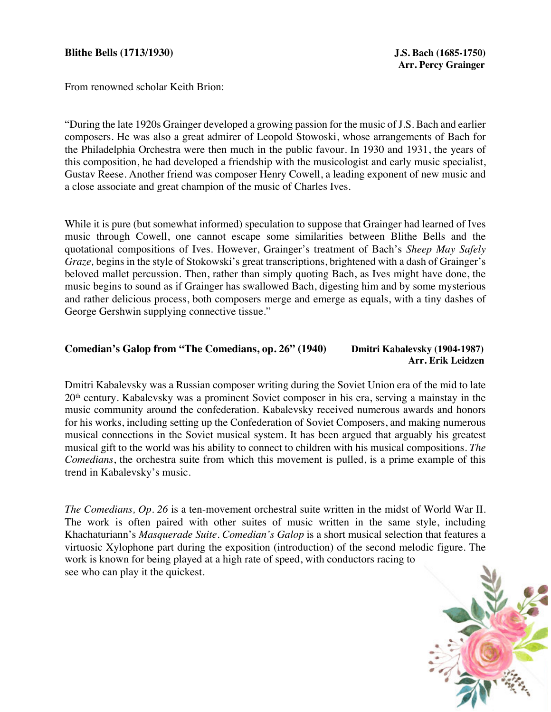#### **Blithe Bells (1713/1930) J.S. Bach (1685-1750)**

From renowned scholar Keith Brion:

"During the late 1920s Grainger developed a growing passion for the music of J.S. Bach and earlier composers. He was also a great admirer of Leopold Stowoski, whose arrangements of Bach for the Philadelphia Orchestra were then much in the public favour. In 1930 and 1931, the years of this composition, he had developed a friendship with the musicologist and early music specialist, Gustav Reese. Another friend was composer Henry Cowell, a leading exponent of new music and a close associate and great champion of the music of Charles Ives.

While it is pure (but somewhat informed) speculation to suppose that Grainger had learned of Ives music through Cowell, one cannot escape some similarities between Blithe Bells and the quotational compositions of Ives. However, Grainger's treatment of Bach's *Sheep May Safely Graze,* begins in the style of Stokowski's great transcriptions, brightened with a dash of Grainger's beloved mallet percussion. Then, rather than simply quoting Bach, as Ives might have done, the music begins to sound as if Grainger has swallowed Bach, digesting him and by some mysterious and rather delicious process, both composers merge and emerge as equals, with a tiny dashes of George Gershwin supplying connective tissue."

### Comedian's Galop from "The Comedians, op. 26" (1940) Dmitri Kabalevsky (1904-1987)  **Arr. Erik Leidzen**

Dmitri Kabalevsky was a Russian composer writing during the Soviet Union era of the mid to late 20th century. Kabalevsky was a prominent Soviet composer in his era, serving a mainstay in the music community around the confederation. Kabalevsky received numerous awards and honors for his works, including setting up the Confederation of Soviet Composers, and making numerous musical connections in the Soviet musical system. It has been argued that arguably his greatest musical gift to the world was his ability to connect to children with his musical compositions. *The Comedians*, the orchestra suite from which this movement is pulled, is a prime example of this trend in Kabalevsky's music.

*The Comedians, Op. 26* is a ten-movement orchestral suite written in the midst of World War II. The work is often paired with other suites of music written in the same style, including Khachaturiann's *Masquerade Suite*. *Comedian's Galop* is a short musical selection that features a virtuosic Xylophone part during the exposition (introduction) of the second melodic figure. The work is known for being played at a high rate of speed, with conductors racing to see who can play it the quickest.